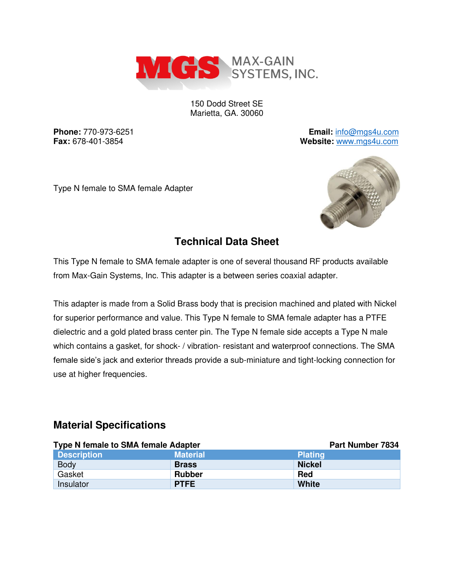

150 Dodd Street SE Marietta, GA. 30060

**Phone:** 770-973-6251 **Email:** [info@mgs4u.com](mailto:info@mgs4u.com) **Fax:** 678-401-3854 **Website:** [www.mgs4u.com](http://www.mgs4u.com/)

Type N female to SMA female Adapter



## **Technical Data Sheet**

This Type N female to SMA female adapter is one of several thousand RF products available from Max-Gain Systems, Inc. This adapter is a between series coaxial adapter.

This adapter is made from a Solid Brass body that is precision machined and plated with Nickel for superior performance and value. This Type N female to SMA female adapter has a PTFE dielectric and a gold plated brass center pin. The Type N female side accepts a Type N male which contains a gasket, for shock- / vibration- resistant and waterproof connections. The SMA female side's jack and exterior threads provide a sub-miniature and tight-locking connection for use at higher frequencies.

#### **Material Specifications**

| <b>Type N female to SMA female Adapter</b> |                 | <b>Part Number 7834</b> |  |  |  |
|--------------------------------------------|-----------------|-------------------------|--|--|--|
| <b>Description</b>                         | <b>Material</b> | <b>Plating</b>          |  |  |  |
| <b>Body</b>                                | <b>Brass</b>    | <b>Nickel</b>           |  |  |  |
| Gasket                                     | <b>Rubber</b>   | Red                     |  |  |  |
| Insulator                                  | <b>PTFE</b>     | <b>White</b>            |  |  |  |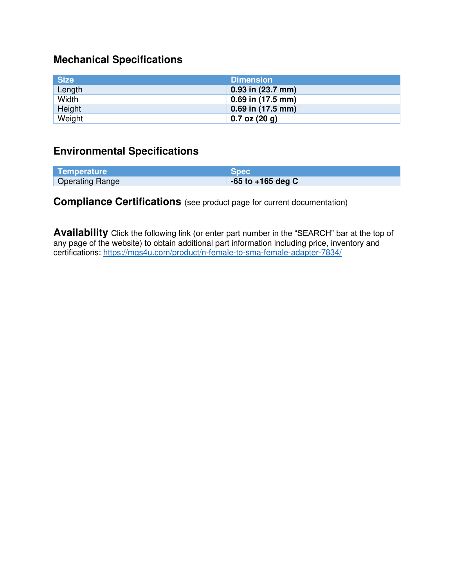# **Mechanical Specifications**

| <b>Size</b> | <b>Dimension</b>      |
|-------------|-----------------------|
| Length      | $0.93$ in $(23.7$ mm) |
| Width       | $0.69$ in (17.5 mm)   |
| Height      | 0.69 in (17.5 mm)     |
| Weight      | $0.7$ oz $(20 g)$     |

### **Environmental Specifications**

| Temperature            | <b>Spec</b>           |
|------------------------|-----------------------|
| <b>Operating Range</b> | $-65$ to $+165$ deg C |

### **Compliance Certifications** (see product page for current documentation)

**Availability** Click the following link (or enter part number in the "SEARCH" bar at the top of any page of the website) to obtain additional part information including price, inventory and certifications:<https://mgs4u.com/product/n-female-to-sma-female-adapter-7834/>